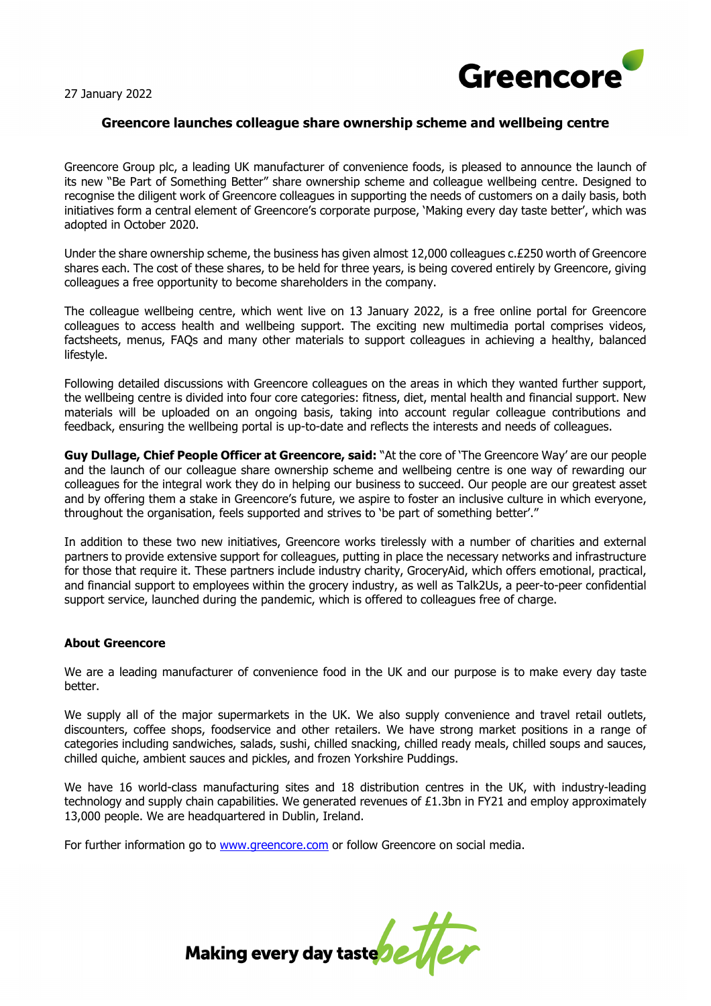27 January 2022



## **Greencore launches colleague share ownership scheme and wellbeing centre**

Greencore Group plc, a leading UK manufacturer of convenience foods, is pleased to announce the launch of its new "Be Part of Something Better" share ownership scheme and colleague wellbeing centre. Designed to recognise the diligent work of Greencore colleagues in supporting the needs of customers on a daily basis, both initiatives form a central element of Greencore's corporate purpose, 'Making every day taste better', which was adopted in October 2020.

Under the share ownership scheme, the business has given almost 12,000 colleagues c.£250 worth of Greencore shares each. The cost of these shares, to be held for three years, is being covered entirely by Greencore, giving colleagues a free opportunity to become shareholders in the company.

The colleague wellbeing centre, which went live on 13 January 2022, is a free online portal for Greencore colleagues to access health and wellbeing support. The exciting new multimedia portal comprises videos, factsheets, menus, FAQs and many other materials to support colleagues in achieving a healthy, balanced lifestyle.

Following detailed discussions with Greencore colleagues on the areas in which they wanted further support, the wellbeing centre is divided into four core categories: fitness, diet, mental health and financial support. New materials will be uploaded on an ongoing basis, taking into account regular colleague contributions and feedback, ensuring the wellbeing portal is up-to-date and reflects the interests and needs of colleagues.

**Guy Dullage, Chief People Officer at Greencore, said:** "At the core of 'The Greencore Way' are our people and the launch of our colleague share ownership scheme and wellbeing centre is one way of rewarding our colleagues for the integral work they do in helping our business to succeed. Our people are our greatest asset and by offering them a stake in Greencore's future, we aspire to foster an inclusive culture in which everyone, throughout the organisation, feels supported and strives to 'be part of something better'."

In addition to these two new initiatives, Greencore works tirelessly with a number of charities and external partners to provide extensive support for colleagues, putting in place the necessary networks and infrastructure for those that require it. These partners include industry charity, GroceryAid, which offers emotional, practical, and financial support to employees within the grocery industry, as well as Talk2Us, a peer-to-peer confidential support service, launched during the pandemic, which is offered to colleagues free of charge.

## **About Greencore**

We are a leading manufacturer of convenience food in the UK and our purpose is to make every day taste better.

We supply all of the major supermarkets in the UK. We also supply convenience and travel retail outlets, discounters, coffee shops, foodservice and other retailers. We have strong market positions in a range of categories including sandwiches, salads, sushi, chilled snacking, chilled ready meals, chilled soups and sauces, chilled quiche, ambient sauces and pickles, and frozen Yorkshire Puddings.

We have 16 world-class manufacturing sites and 18 distribution centres in the UK, with industry-leading technology and supply chain capabilities. We generated revenues of £1.3bn in FY21 and employ approximately 13,000 people. We are headquartered in Dublin, Ireland.

For further information go to [www.greencore.com](http://www.greencore.com/) or follow Greencore on social media.

Making every day tastebeller